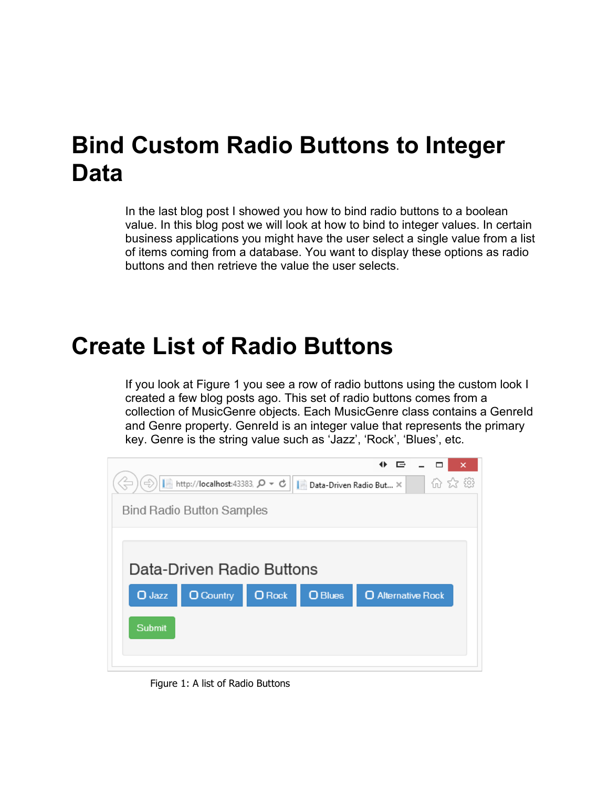## **Bind Custom Radio Buttons to Integer Data**

In the last blog post I showed you how to bind radio buttons to a boolean value. In this blog post we will look at how to bind to integer values. In certain business applications you might have the user select a single value from a list of items coming from a database. You want to display these options as radio buttons and then retrieve the value the user selects.

### **Create List of Radio Buttons**

If you look at Figure 1 you see a row of radio buttons using the custom look I created a few blog posts ago. This set of radio buttons comes from a collection of MusicGenre objects. Each MusicGenre class contains a GenreId and Genre property. Genreld is an integer value that represents the primary key. Genre is the string value such as 'Jazz', 'Rock', 'Blues', etc.



Figure 1: A list of Radio Buttons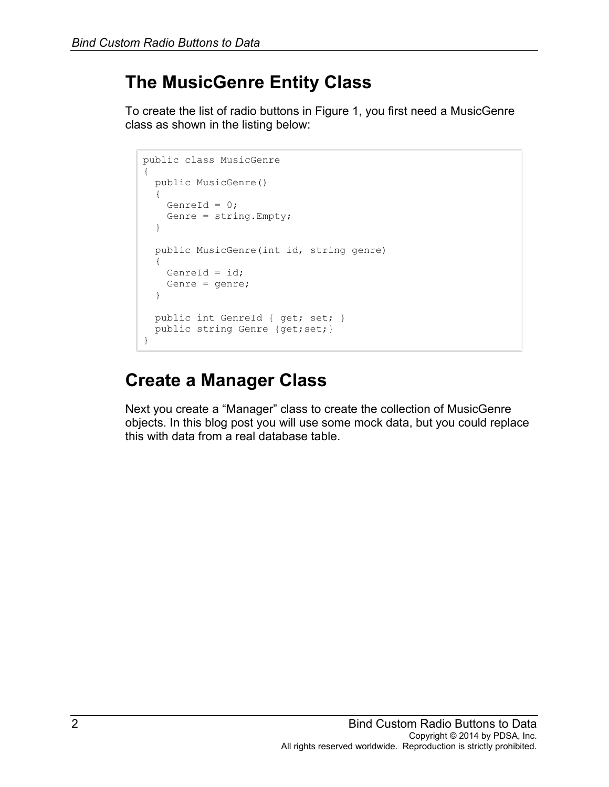#### **The MusicGenre Entity Class**

To create the list of radio buttons in Figure 1, you first need a MusicGenre class as shown in the listing below:

```
public class MusicGenre
{
   public MusicGenre()
   {
   GenreId = 0; Genre = string.Empty;
   }
   public MusicGenre(int id, string genre)
   {
   GenreId = id; Genre = genre;
   }
  public int GenreId { get; set; }
 public string Genre {get; set; }
}
```
#### **Create a Manager Class**

Next you create a "Manager" class to create the collection of MusicGenre objects. In this blog post you will use some mock data, but you could replace this with data from a real database table.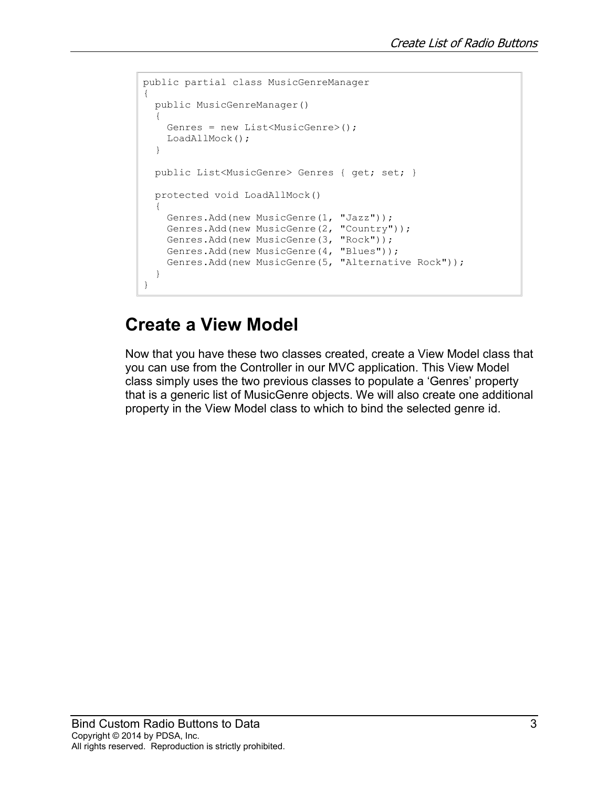```
public partial class MusicGenreManager
{
   public MusicGenreManager()
   {
    Genres = new List<MusicGenre>();
    LoadAllMock();
   }
   public List<MusicGenre> Genres { get; set; }
  protected void LoadAllMock()
   {
     Genres.Add(new MusicGenre(1, "Jazz"));
     Genres.Add(new MusicGenre(2, "Country"));
     Genres.Add(new MusicGenre(3, "Rock"));
     Genres.Add(new MusicGenre(4, "Blues")); 
     Genres.Add(new MusicGenre(5, "Alternative Rock"));
   } 
}
```
#### **Create a View Model**

Now that you have these two classes created, create a View Model class that you can use from the Controller in our MVC application. This View Model class simply uses the two previous classes to populate a 'Genres' property that is a generic list of MusicGenre objects. We will also create one additional property in the View Model class to which to bind the selected genre id.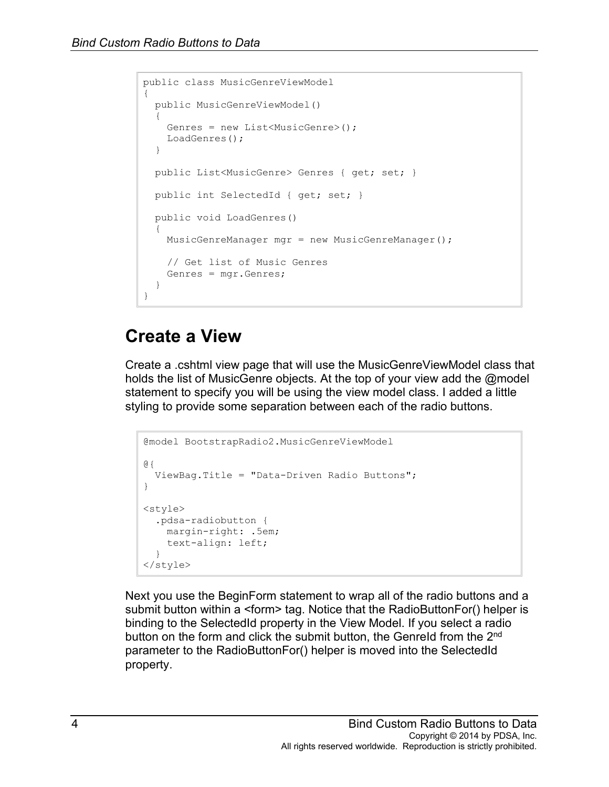```
public class MusicGenreViewModel
{
  public MusicGenreViewModel()
  \mathfrak{t} Genres = new List<MusicGenre>();
    LoadGenres();
   }
  public List<MusicGenre> Genres { get; set; }
  public int SelectedId { get; set; }
  public void LoadGenres()
\{ MusicGenreManager mgr = new MusicGenreManager();
     // Get list of Music Genres
    Genres = mgr.Genres;
  }
}
```
#### **Create a View**

Create a .cshtml view page that will use the MusicGenreViewModel class that holds the list of MusicGenre objects. At the top of your view add the @model statement to specify you will be using the view model class. I added a little styling to provide some separation between each of the radio buttons.

```
@model BootstrapRadio2.MusicGenreViewModel
@{
   ViewBag.Title = "Data-Driven Radio Buttons";
}
<style>
   .pdsa-radiobutton {
    margin-right: .5em;
     text-align: left;
  }
</style>
```
Next you use the BeginForm statement to wrap all of the radio buttons and a submit button within a <form> tag. Notice that the RadioButtonFor() helper is binding to the SelectedId property in the View Model. If you select a radio button on the form and click the submit button, the Genreld from the 2<sup>nd</sup> parameter to the RadioButtonFor() helper is moved into the SelectedId property.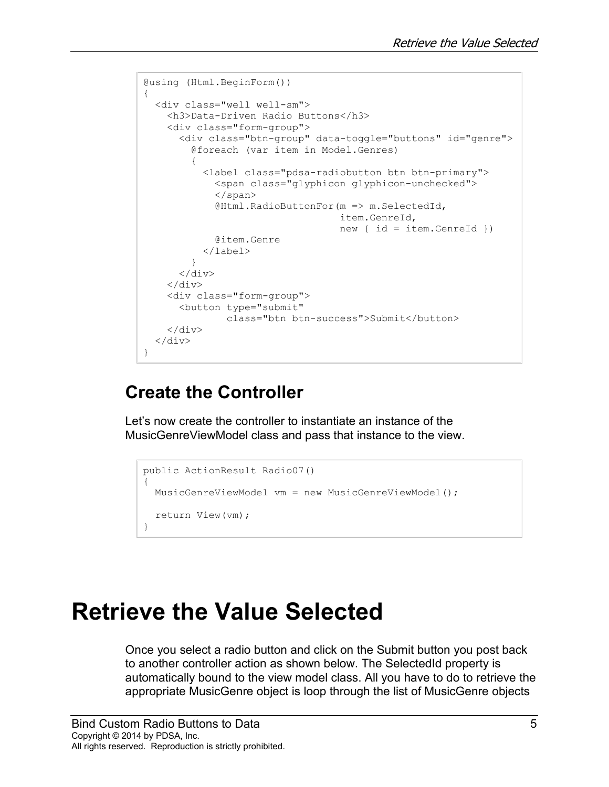```
@using (Html.BeginForm())
{
   <div class="well well-sm">
     <h3>Data-Driven Radio Buttons</h3>
     <div class="form-group">
       <div class="btn-group" data-toggle="buttons" id="genre">
         @foreach (var item in Model.Genres)
\{ <label class="pdsa-radiobutton btn btn-primary">
             <span class="glyphicon glyphicon-unchecked">
             </span>
             @Html.RadioButtonFor(m => m.SelectedId, 
                                    item.GenreId, 
                                   new { id = item.GenreId })
             @item.Genre
         </label>
 }
      \langle/div\rangle\langlediv\rangle <div class="form-group">
       <button type="submit" 
                class="btn btn-success">Submit</button>
    \langlediv\rangle\langle div>
}
```
#### **Create the Controller**

Let's now create the controller to instantiate an instance of the MusicGenreViewModel class and pass that instance to the view.

```
public ActionResult Radio07()
{
  MusicGenreViewModel vm = new MusicGenreViewModel();
  return View(vm);
}
```
## **Retrieve the Value Selected**

Once you select a radio button and click on the Submit button you post back to another controller action as shown below. The SelectedId property is automatically bound to the view model class. All you have to do to retrieve the appropriate MusicGenre object is loop through the list of MusicGenre objects